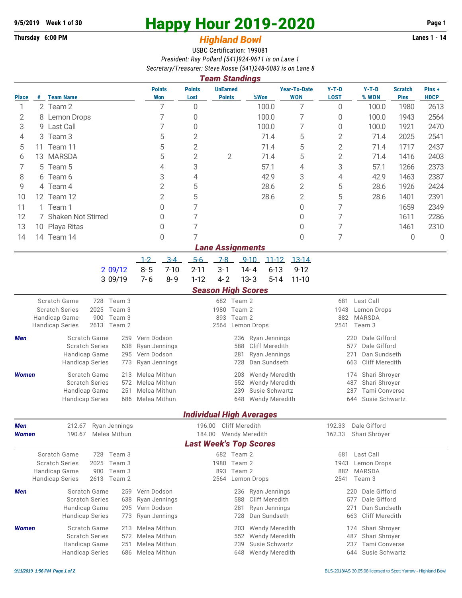## **Thursday 6:00 PM** *Highland Bowl*

## **9/5/2019** Week 1 of 30<br> **Happy Hour 2019-2020** Page 1<br> **Highland Rowl Lanes 1 - 14**<br>
Lanes 1 - 14

## USBC Certification: 199081 *President: Ray Pollard (541)924-9611 is on Lane 1 Secretary/Treasurer: Steve Kosse (541)248-0083 is on Lane 8*

|                               | <b>Team Standings</b>   |                                                                            |                              |                                                                |                                  |                                               |                                   |                                             |                                                      |                               |                      |  |  |  |  |
|-------------------------------|-------------------------|----------------------------------------------------------------------------|------------------------------|----------------------------------------------------------------|----------------------------------|-----------------------------------------------|-----------------------------------|---------------------------------------------|------------------------------------------------------|-------------------------------|----------------------|--|--|--|--|
| <b>Place</b>                  | #                       | <b>Team Name</b>                                                           | <b>Points</b><br><b>Won</b>  | <b>Points</b><br>Lost                                          | <b>UnEarned</b><br><b>Points</b> | %Won                                          | <b>Year-To-Date</b><br><b>WON</b> | $Y-T-D$<br><b>LOST</b>                      | $Y-T-D$<br>% WON                                     | <b>Scratch</b><br><b>Pins</b> | Pins+<br><b>HDCP</b> |  |  |  |  |
| 1                             |                         | 2 Team 2                                                                   | 7                            | 0                                                              |                                  | 100.0                                         | 7                                 | 0                                           | 100.0                                                | 1980                          | 2613                 |  |  |  |  |
| 2                             |                         | 8 Lemon Drops                                                              | 7                            | 0                                                              |                                  | 100.0                                         | 7                                 | 0                                           | 100.0                                                | 1943                          | 2564                 |  |  |  |  |
| 3                             |                         | 9 Last Call                                                                | 7                            | 0                                                              |                                  | 100.0                                         | 7                                 | 0                                           | 100.0                                                | 1921                          | 2470                 |  |  |  |  |
| 4                             | 3                       | Team 3                                                                     | 5                            | $\overline{2}$                                                 |                                  | 71.4                                          | 5                                 | $\overline{2}$                              | 71.4                                                 | 2025                          | 2541                 |  |  |  |  |
| 5                             | 11                      | Team 11                                                                    | 5                            | $\overline{2}$                                                 |                                  | 71.4                                          | 5                                 | $\overline{2}$                              | 71.4                                                 | 1717                          | 2437                 |  |  |  |  |
| 6                             | 13                      | <b>MARSDA</b>                                                              | 5                            | $\overline{2}$                                                 | 2                                | 71.4                                          | 5                                 | $\overline{2}$                              | 71.4                                                 | 1416                          | 2403                 |  |  |  |  |
| 7                             |                         | 5 Team 5                                                                   | 4                            | 3                                                              |                                  | 57.1                                          | 4                                 | 3                                           | 57.1                                                 | 1266                          | 2373                 |  |  |  |  |
| 8                             |                         | 6 Team 6                                                                   | 3                            | 4                                                              |                                  | 42.9                                          | 3                                 | 42.9<br>1463<br>4                           |                                                      |                               | 2387                 |  |  |  |  |
| 9                             |                         | 4 Team 4                                                                   | $\overline{2}$               | 5                                                              |                                  | 28.6                                          | $\overline{2}$                    | 5<br>28.6                                   |                                                      | 1926                          | 2424                 |  |  |  |  |
| 10                            |                         | 12 Team 12                                                                 | $\overline{2}$               | 5                                                              |                                  | 28.6                                          | $\overline{2}$                    | 5                                           | 28.6                                                 | 1401                          | 2391                 |  |  |  |  |
| 11                            |                         | 1 Team 1                                                                   | 0                            | 7                                                              |                                  |                                               | 0                                 | 7                                           |                                                      | 1659                          | 2349                 |  |  |  |  |
| 12                            |                         | 7 Shaken Not Stirred                                                       | 0                            | 7                                                              |                                  |                                               | 0                                 | 7                                           |                                                      | 1611                          | 2286                 |  |  |  |  |
| 13                            |                         | 10 Playa Ritas                                                             | 0                            | 7                                                              |                                  |                                               | 0                                 | 7                                           |                                                      | 1461                          | 2310                 |  |  |  |  |
| 14                            |                         | 14 Team 14                                                                 | 0                            | 7                                                              |                                  |                                               | 0                                 | 7                                           |                                                      | 0                             | 0                    |  |  |  |  |
|                               | <b>Lane Assignments</b> |                                                                            |                              |                                                                |                                  |                                               |                                   |                                             |                                                      |                               |                      |  |  |  |  |
|                               |                         |                                                                            | $3-4$<br>$1 - 2$             | $5-6$                                                          | $7-8$                            | $9 - 10$<br>$11 - 12$                         | $13 - 14$                         |                                             |                                                      |                               |                      |  |  |  |  |
|                               |                         | 209/12                                                                     | $8 - 5$<br>$7 - 10$          | $2 - 11$                                                       | $3 - 1$                          | $14 - 4$<br>$6 - 13$                          | $9 - 12$                          |                                             |                                                      |                               |                      |  |  |  |  |
|                               |                         | 3 09/19                                                                    | $7 - 6$<br>$8 - 9$           | $1 - 12$                                                       | $4 - 2$                          | $13 - 3$<br>$5 - 14$                          | $11 - 10$                         |                                             |                                                      |                               |                      |  |  |  |  |
|                               |                         |                                                                            |                              |                                                                | <b>Season High Scores</b>        |                                               |                                   |                                             |                                                      |                               |                      |  |  |  |  |
| Scratch Game<br>Team 3<br>728 |                         |                                                                            |                              | 682 Team 2                                                     |                                  |                                               |                                   |                                             | Last Call<br>681                                     |                               |                      |  |  |  |  |
|                               |                         | <b>Scratch Series</b><br>2025<br>Team 3                                    |                              |                                                                | 1980<br>Team 2                   |                                               |                                   | 1943<br>Lemon Drops<br>882<br><b>MARSDA</b> |                                                      |                               |                      |  |  |  |  |
|                               |                         | 900<br>Team 3<br>Handicap Game<br>2613<br>Team 2<br><b>Handicap Series</b> |                              | Team 2<br>893<br>2564<br>Lemon Drops                           |                                  |                                               |                                   |                                             |                                                      | 2541<br>Team 3                |                      |  |  |  |  |
| Men                           |                         | Scratch Game<br>259                                                        | Vern Dodson                  |                                                                | 236                              |                                               |                                   |                                             | Dale Gifford                                         |                               |                      |  |  |  |  |
|                               |                         | <b>Scratch Series</b><br>638                                               | Ryan Jennings                |                                                                | 588                              | Ryan Jennings<br><b>Cliff Meredith</b>        |                                   | 220<br>Dale Gifford<br>577                  |                                                      |                               |                      |  |  |  |  |
|                               |                         | Handicap Game<br>295                                                       | Vern Dodson                  |                                                                | 281<br>Ryan Jennings             |                                               |                                   |                                             | Dan Sundseth<br>271                                  |                               |                      |  |  |  |  |
|                               |                         | <b>Handicap Series</b><br>773                                              | Ryan Jennings                |                                                                | 728                              | Dan Sundseth                                  |                                   | <b>Cliff Meredith</b><br>663                |                                                      |                               |                      |  |  |  |  |
| <b>Women</b>                  |                         | Scratch Game<br>213                                                        | Melea Mithun                 |                                                                | 203                              | Wendy Meredith                                |                                   | Shari Shroyer<br>174                        |                                                      |                               |                      |  |  |  |  |
|                               |                         | <b>Scratch Series</b><br>572                                               | Melea Mithun                 |                                                                | 552<br>Wendy Meredith            |                                               |                                   |                                             | 487<br>Shari Shroyer                                 |                               |                      |  |  |  |  |
|                               |                         | Handicap Game<br>251                                                       | Melea Mithun                 | Susie Schwartz<br>239<br>Melea Mithun<br>648<br>Wendy Meredith |                                  |                                               |                                   |                                             | 237<br><b>Tami Converse</b><br>Susie Schwartz<br>644 |                               |                      |  |  |  |  |
|                               |                         | <b>Handicap Series</b><br>686                                              |                              |                                                                |                                  |                                               |                                   |                                             |                                                      |                               |                      |  |  |  |  |
|                               |                         |                                                                            |                              |                                                                |                                  | <b>Individual High Averages</b>               |                                   |                                             |                                                      |                               |                      |  |  |  |  |
| Men<br><b>Women</b>           |                         | Ryan Jennings<br>212.67                                                    |                              | 196.00                                                         | <b>Cliff Meredith</b>            |                                               |                                   | 192.33                                      | Dale Gifford                                         |                               |                      |  |  |  |  |
|                               |                         | 190.67<br>Melea Mithun                                                     |                              |                                                                | 162.33                           | Shari Shroyer                                 |                                   |                                             |                                                      |                               |                      |  |  |  |  |
|                               |                         |                                                                            |                              |                                                                |                                  | <b>Last Week's Top Scores</b>                 |                                   |                                             |                                                      |                               |                      |  |  |  |  |
|                               |                         | Scratch Game<br>728 Team 3                                                 |                              |                                                                | 682 Team 2                       |                                               |                                   | 681 Last Call                               |                                                      |                               |                      |  |  |  |  |
|                               |                         | <b>Scratch Series</b>                                                      | Team 3<br>2025<br>Team 3     |                                                                |                                  | 1980 Team 2                                   |                                   | 1943<br>Lemon Drops<br><b>MARSDA</b>        |                                                      |                               |                      |  |  |  |  |
|                               |                         | Handicap Game<br>900<br><b>Handicap Series</b><br>2613 Team 2              |                              |                                                                | 893<br>Team 2<br>2564            | Lemon Drops                                   |                                   | 882<br>2541<br>Team 3                       |                                                      |                               |                      |  |  |  |  |
|                               |                         |                                                                            |                              |                                                                |                                  |                                               |                                   |                                             |                                                      |                               |                      |  |  |  |  |
| Men                           |                         | Scratch Game<br>259<br><b>Scratch Series</b><br>638                        | Vern Dodson<br>Ryan Jennings |                                                                | 236<br>588                       | Ryan Jennings<br>Cliff Meredith               |                                   |                                             | Dale Gifford<br>220<br>577<br>Dale Gifford           |                               |                      |  |  |  |  |
|                               |                         | Handicap Game<br>295                                                       | Vern Dodson                  |                                                                | Ryan Jennings<br>281             |                                               |                                   | Dan Sundseth<br>271                         |                                                      |                               |                      |  |  |  |  |
|                               |                         | <b>Handicap Series</b><br>773                                              | Ryan Jennings                |                                                                | 728                              | Dan Sundseth                                  |                                   |                                             | Cliff Meredith<br>663                                |                               |                      |  |  |  |  |
| <b>Women</b>                  |                         | Scratch Game<br>213                                                        | Melea Mithun                 |                                                                | 203                              | Wendy Meredith                                |                                   | Shari Shroyer<br>174                        |                                                      |                               |                      |  |  |  |  |
|                               |                         | <b>Scratch Series</b><br>572                                               | Melea Mithun                 | Wendy Meredith<br>487<br>Shari Shroyer<br>552                  |                                  |                                               |                                   |                                             |                                                      |                               |                      |  |  |  |  |
|                               |                         | Handicap Game                                                              | 251<br>Melea Mithun          |                                                                |                                  | 239<br>Susie Schwartz<br>237<br>Tami Converse |                                   |                                             |                                                      |                               |                      |  |  |  |  |
|                               |                         | <b>Handicap Series</b><br>686                                              | Melea Mithun                 | Wendy Meredith<br>648                                          |                                  |                                               |                                   |                                             |                                                      | 644<br>Susie Schwartz         |                      |  |  |  |  |